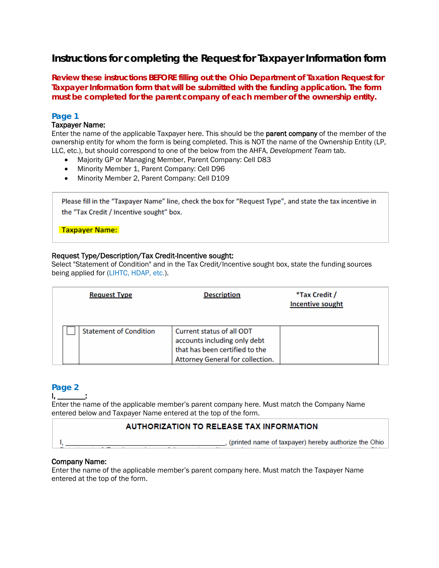# **Instructions for completing the Request for Taxpayer Information form**

**Review these instructions BEFORE filling out the Ohio Department of Taxation Request for Taxpayer Information form that will be submitted with the funding application. The form must be completed for the parent company of each member of the ownership entity.**

# **Page 1**

### Taxpayer Name:

Enter the name of the applicable Taxpayer here. This should be the parent company of the member of the ownership entity for whom the form is being completed. This is NOT the name of the Ownership Entity (LP, LLC, etc.), but should correspond to one of the below from the AHFA, *Development Team* tab.

- Majority GP or Managing Member, Parent Company: Cell D83
- Minority Member 1, Parent Company: Cell D96
- Minority Member 2, Parent Company: Cell D109

Please fill in the "Taxpayer Name" line, check the box for "Request Type", and state the tax incentive in the "Tax Credit / Incentive sought" box.

### **Taxpayer Name:**

## Request Type/Description/Tax Credit-Incentive sought:

Select "Statement of Condition" and in the Tax Credit/Incentive sought box, state the funding sources being applied for (LIHTC, HDAP, etc.).

| <b>Request Type</b>           | <b>Description</b>                                                                                                              | *Tax Credit /<br><b>Incentive sought</b> |  |
|-------------------------------|---------------------------------------------------------------------------------------------------------------------------------|------------------------------------------|--|
| <b>Statement of Condition</b> | Current status of all ODT<br>accounts including only debt<br>that has been certified to the<br>Attorney General for collection. |                                          |  |

# **Page 2**

I, \_\_\_\_\_\_\_:

 $\mathsf{I}_{r}$ 

Enter the name of the applicable member's parent company here. Must match the Company Name entered below and Taxpayer Name entered at the top of the form.

# **AUTHORIZATION TO RELEASE TAX INFORMATION**

, (printed name of taxpayer) hereby authorize the Ohio

## Company Name:

Enter the name of the applicable member's parent company here. Must match the Taxpayer Name entered at the top of the form.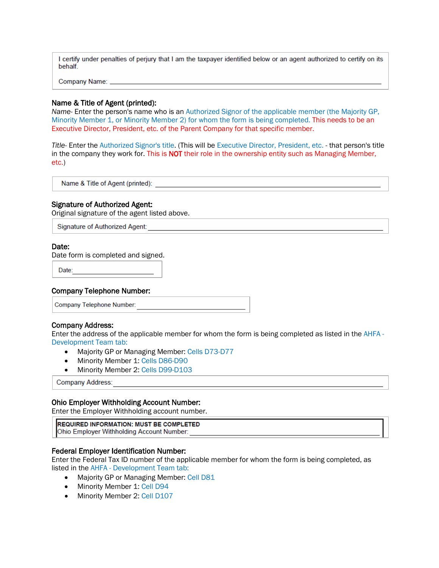I certify under penalties of perjury that I am the taxpayer identified below or an agent authorized to certify on its behalf.

Company Name: \_\_

#### Name & Title of Agent (printed):

*Name-* Enter the person's name who is an Authorized Signor of the applicable member (the Majority GP, Minority Member 1, or Minority Member 2) for whom the form is being completed. This needs to be an Executive Director, President, etc. of the Parent Company for that specific member.

*Title-* Enter the Authorized Signor's title. (This will be Executive Director, President, etc. - that person's title in the company they work for. This is NOT their role in the ownership entity such as Managing Member, etc.)

Name & Title of Agent (printed):

#### Signature of Authorized Agent:

Original signature of the agent listed above.

Signature of Authorized Agent:

#### Date:

Date form is completed and signed.

Date:

#### Company Telephone Number:

Company Telephone Number:

#### Company Address:

Enter the address of the applicable member for whom the form is being completed as listed in the AHFA - Development Team tab:

- Majority GP or Managing Member: Cells D73-D77
- Minority Member 1: Cells D86-D90
- Minority Member 2: Cells D99-D103

**Company Address:** 

#### Ohio Employer Withholding Account Number:

Enter the Employer Withholding account number.

**REQUIRED INFORMATION: MUST BE COMPLETED** Ohio Employer Withholding Account Number:

#### Federal Employer Identification Number:

Enter the Federal Tax ID number of the applicable member for whom the form is being completed, as listed in the AHFA - Development Team tab:

- Majority GP or Managing Member: Cell D81
- Minority Member 1: Cell D94
- Minority Member 2: Cell D107